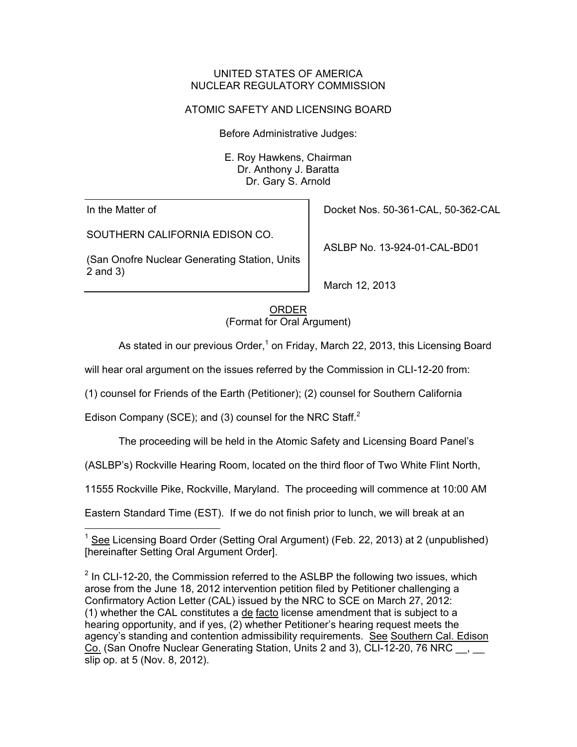## UNITED STATES OF AMERICA NUCLEAR REGULATORY COMMISSION

## ATOMIC SAFETY AND LICENSING BOARD

Before Administrative Judges:

E. Roy Hawkens, Chairman Dr. Anthony J. Baratta Dr. Gary S. Arnold

In the Matter of

SOUTHERN CALIFORNIA EDISON CO.

(San Onofre Nuclear Generating Station, Units 2 and 3)

Docket Nos. 50-361-CAL, 50-362-CAL

ASLBP No. 13-924-01-CAL-BD01

March 12, 2013

ORDER (Format for Oral Argument)

As stated in our previous Order,<sup>1</sup> on Friday, March 22, 2013, this Licensing Board

will hear oral argument on the issues referred by the Commission in CLI-12-20 from:

(1) counsel for Friends of the Earth (Petitioner); (2) counsel for Southern California

Edison Company (SCE); and (3) counsel for the NRC Staff. $^2$ 

The proceeding will be held in the Atomic Safety and Licensing Board Panel's

(ASLBP's) Rockville Hearing Room, located on the third floor of Two White Flint North,

11555 Rockville Pike, Rockville, Maryland. The proceeding will commence at 10:00 AM

Eastern Standard Time (EST). If we do not finish prior to lunch, we will break at an

 $\overline{a}$ <sup>1</sup> See Licensing Board Order (Setting Oral Argument) (Feb. 22, 2013) at 2 (unpublished) [hereinafter Setting Oral Argument Order].

 $2$  In CLI-12-20, the Commission referred to the ASLBP the following two issues, which arose from the June 18, 2012 intervention petition filed by Petitioner challenging a Confirmatory Action Letter (CAL) issued by the NRC to SCE on March 27, 2012: (1) whether the CAL constitutes a de facto license amendment that is subject to a hearing opportunity, and if yes, (2) whether Petitioner's hearing request meets the agency's standing and contention admissibility requirements. See Southern Cal. Edison Co. (San Onofre Nuclear Generating Station, Units 2 and 3), CLI-12-20, 76 NRC , slip op. at 5 (Nov. 8, 2012).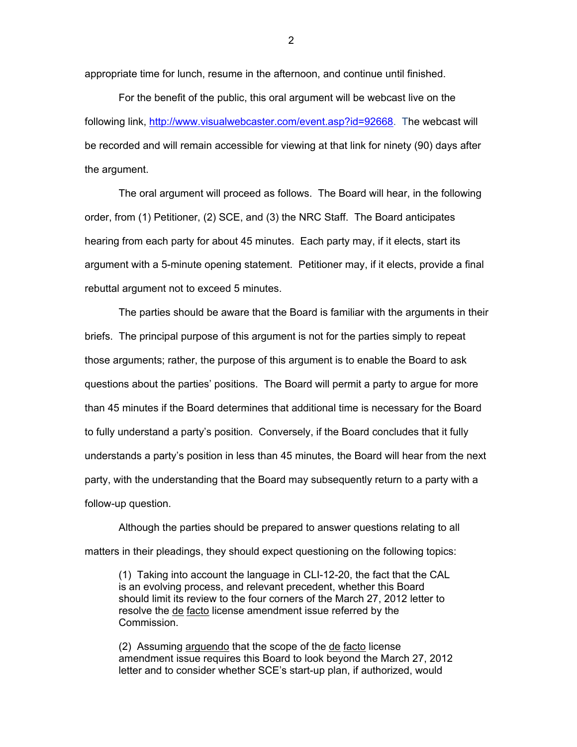appropriate time for lunch, resume in the afternoon, and continue until finished.

For the benefit of the public, this oral argument will be webcast live on the following link, http://www.visualwebcaster.com/event.asp?id=92668. The webcast will be recorded and will remain accessible for viewing at that link for ninety (90) days after the argument.

The oral argument will proceed as follows. The Board will hear, in the following order, from (1) Petitioner, (2) SCE, and (3) the NRC Staff. The Board anticipates hearing from each party for about 45 minutes. Each party may, if it elects, start its argument with a 5-minute opening statement. Petitioner may, if it elects, provide a final rebuttal argument not to exceed 5 minutes.

The parties should be aware that the Board is familiar with the arguments in their briefs. The principal purpose of this argument is not for the parties simply to repeat those arguments; rather, the purpose of this argument is to enable the Board to ask questions about the parties' positions. The Board will permit a party to argue for more than 45 minutes if the Board determines that additional time is necessary for the Board to fully understand a party's position. Conversely, if the Board concludes that it fully understands a party's position in less than 45 minutes, the Board will hear from the next party, with the understanding that the Board may subsequently return to a party with a follow-up question.

Although the parties should be prepared to answer questions relating to all matters in their pleadings, they should expect questioning on the following topics:

(1) Taking into account the language in CLI-12-20, the fact that the CAL is an evolving process, and relevant precedent, whether this Board should limit its review to the four corners of the March 27, 2012 letter to resolve the de facto license amendment issue referred by the Commission.

(2) Assuming arguendo that the scope of the de facto license amendment issue requires this Board to look beyond the March 27, 2012 letter and to consider whether SCE's start-up plan, if authorized, would

2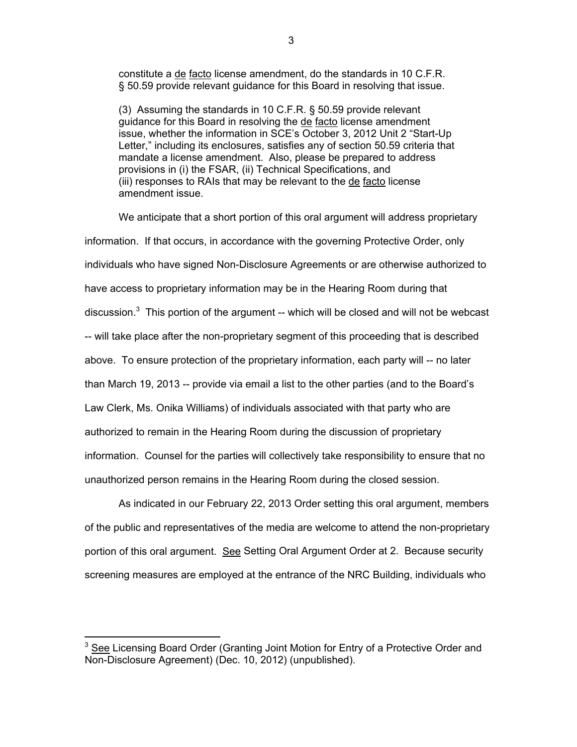constitute a de facto license amendment, do the standards in 10 C.F.R. § 50.59 provide relevant guidance for this Board in resolving that issue.

(3) Assuming the standards in 10 C.F.R. § 50.59 provide relevant guidance for this Board in resolving the de facto license amendment issue, whether the information in SCE's October 3, 2012 Unit 2 "Start-Up Letter," including its enclosures, satisfies any of section 50.59 criteria that mandate a license amendment. Also, please be prepared to address provisions in (i) the FSAR, (ii) Technical Specifications, and (iii) responses to RAIs that may be relevant to the de facto license amendment issue.

We anticipate that a short portion of this oral argument will address proprietary information. If that occurs, in accordance with the governing Protective Order, only individuals who have signed Non-Disclosure Agreements or are otherwise authorized to have access to proprietary information may be in the Hearing Room during that discussion. $3$  This portion of the argument -- which will be closed and will not be webcast -- will take place after the non-proprietary segment of this proceeding that is described above. To ensure protection of the proprietary information, each party will -- no later than March 19, 2013 -- provide via email a list to the other parties (and to the Board's Law Clerk, Ms. Onika Williams) of individuals associated with that party who are authorized to remain in the Hearing Room during the discussion of proprietary information. Counsel for the parties will collectively take responsibility to ensure that no unauthorized person remains in the Hearing Room during the closed session.

 As indicated in our February 22, 2013 Order setting this oral argument, members of the public and representatives of the media are welcome to attend the non-proprietary portion of this oral argument. See Setting Oral Argument Order at 2. Because security screening measures are employed at the entrance of the NRC Building, individuals who

 $\overline{a}$ 

<sup>&</sup>lt;sup>3</sup> See Licensing Board Order (Granting Joint Motion for Entry of a Protective Order and Non-Disclosure Agreement) (Dec. 10, 2012) (unpublished).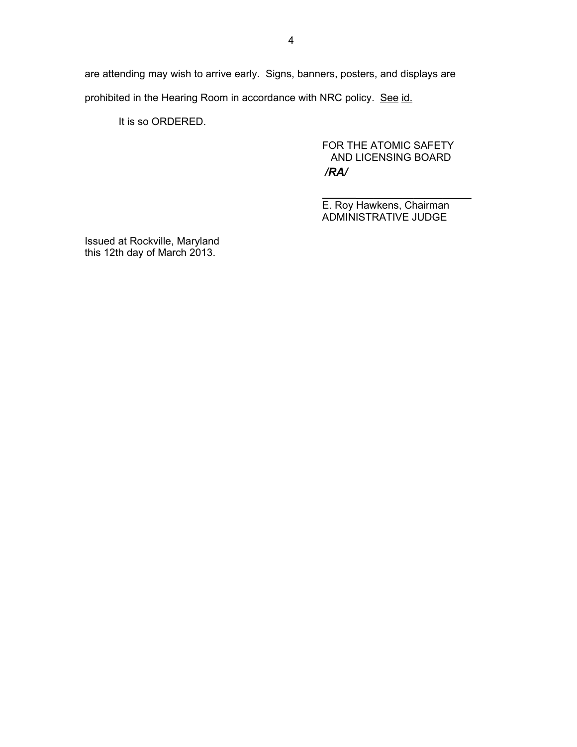are attending may wish to arrive early. Signs, banners, posters, and displays are prohibited in the Hearing Room in accordance with NRC policy. See id.

It is so ORDERED.

 FOR THE ATOMIC SAFETY AND LICENSING BOARD */RA/*

E. Roy Hawkens, Chairman ADMINISTRATIVE JUDGE

Issued at Rockville, Maryland this 12th day of March 2013.

 $\overline{\phantom{a}}$  , and the contract of the contract of the contract of the contract of the contract of the contract of the contract of the contract of the contract of the contract of the contract of the contract of the contrac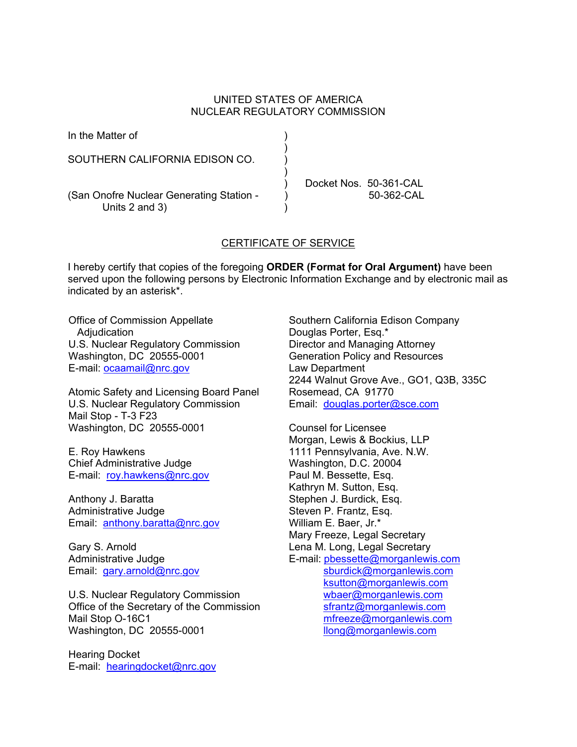## UNITED STATES OF AMERICA NUCLEAR REGULATORY COMMISSION

| In the Matter of                                           |  |                        |
|------------------------------------------------------------|--|------------------------|
| SOUTHERN CALIFORNIA EDISON CO.                             |  |                        |
|                                                            |  | Docket Nos. 50-361-CAL |
| (San Onofre Nuclear Generating Station -<br>Units 2 and 3) |  | $50-362-CAL$           |

## CERTIFICATE OF SERVICE

I hereby certify that copies of the foregoing **ORDER (Format for Oral Argument)** have been served upon the following persons by Electronic Information Exchange and by electronic mail as indicated by an asterisk\*.

Office of Commission Appellate Adjudication U.S. Nuclear Regulatory Commission Washington, DC 20555-0001 E-mail: ocaamail@nrc.gov

Atomic Safety and Licensing Board Panel U.S. Nuclear Regulatory Commission Mail Stop - T-3 F23 Washington, DC 20555-0001

E. Roy Hawkens Chief Administrative Judge E-mail: roy.hawkens@nrc.gov

Anthony J. Baratta Administrative Judge Email: anthony.baratta@nrc.gov

Gary S. Arnold Administrative Judge Email: gary.arnold@nrc.gov

U.S. Nuclear Regulatory Commission Office of the Secretary of the Commission Mail Stop O-16C1 Washington, DC 20555-0001

Hearing Docket E-mail: hearingdocket@nrc.gov Southern California Edison Company Douglas Porter, Esq.\* Director and Managing Attorney Generation Policy and Resources Law Department 2244 Walnut Grove Ave., GO1, Q3B, 335C Rosemead, CA 91770 Email: douglas.porter@sce.com

Counsel for Licensee Morgan, Lewis & Bockius, LLP 1111 Pennsylvania, Ave. N.W. Washington, D.C. 20004 Paul M. Bessette, Esq. Kathryn M. Sutton, Esq. Stephen J. Burdick, Esq. Steven P. Frantz, Esq. William E. Baer, Jr.\* Mary Freeze, Legal Secretary Lena M. Long, Legal Secretary E-mail: pbessette@morganlewis.com sburdick@morganlewis.com ksutton@morganlewis.com wbaer@morganlewis.com sfrantz@morganlewis.com mfreeze@morganlewis.com llong@morganlewis.com